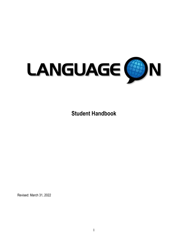

**Student Handbook** 

Revised: March 31, 2022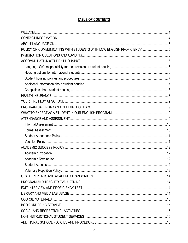# TABLE OF CONTENTS

| POLICY ON COMMUNICATING WITH STUDENTS WITH LOW ENGLISH PROFICIENCY 5 |  |
|----------------------------------------------------------------------|--|
|                                                                      |  |
|                                                                      |  |
|                                                                      |  |
|                                                                      |  |
|                                                                      |  |
|                                                                      |  |
|                                                                      |  |
|                                                                      |  |
|                                                                      |  |
|                                                                      |  |
|                                                                      |  |
|                                                                      |  |
|                                                                      |  |
|                                                                      |  |
|                                                                      |  |
|                                                                      |  |
|                                                                      |  |
|                                                                      |  |
|                                                                      |  |
|                                                                      |  |
|                                                                      |  |
|                                                                      |  |
|                                                                      |  |
|                                                                      |  |
|                                                                      |  |
|                                                                      |  |
|                                                                      |  |
|                                                                      |  |
|                                                                      |  |
|                                                                      |  |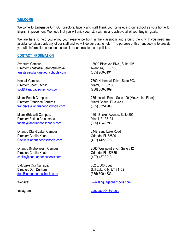#### <span id="page-3-0"></span>**WELCOME**

Welcome to **Language On**! Our directors, faculty and staff thank you for selecting our school as your home for English improvement. We hope that you will enjoy your stay with us and achieve all of your English goals.

We are here to help you enjoy your experience both in the classroom and around the city. If you need any assistance, please ask any of our staff and we will do our best to help. The purpose of this handbook is to provide you with information about our school, location, mission, and policies.

#### <span id="page-3-1"></span>**CONTACT INFORMATION**

Aventura Campus: 18999 Biscayne Blvd., Suite 105 Director: Anastasia Serebrennikova<br>
Aventura, FL 33180 [anastasia@languageonschools.com](mailto:anastasia@languageonschools.com) (305) 260-6191

Kendall Campus **1988** Network 1700 N. Kendall Drive, Suite 303 Director: Scott Rachlin Miami, FL 33156 [scott@languageonschools.com](mailto:scott@languageonschools.com) (786) 800-3469

Director: Francisca Ferreras Miami Beach, FL 33139 [francisca@languageonschools.com](mailto:francisca@languageonschools.com) (305) 532-4903

Miami (Brickell) Campus: 1201 Brickell Avenue, Suite 205 Director: Fatima Arosemena Miami, FL 33131 [fatima@languageonschools.com](mailto:fatima@languageonschools.com) (305) 424-9596

Orlando (Sand Lake) Campus: 2448 Sand Lake Road Director: Cecilia Knapp **Orlando**, FL 32809 [Cecilia@languageonschools.com](mailto:Cecilia@languageonschools.com) (407) 442-1278

Orlando (Metro West) Campus: 7065 Westpoint Blvd., Suite 312 Director: Cecilia Knapp<br>
cecilia@languageonschools.com (407) 487-3913 [cecilia@languageonschools.com](mailto:cecilia@languageonschools.com)

Salt Lake City Campus: 602 E 300 South Director: Don Durham Salt Lake City, UT 84102 [don@languageonschools.com](mailto:don@languageonschools.com) (385) 500-4333

Miami Beach Campus: 235 Lincoln Road, Suite 100 (Mezzanine Floor)

Website: [www.languageonschools.com](http://www.languageonschools.com/) 

Instagram: LanguageOnSchools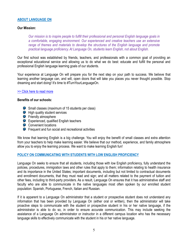#### <span id="page-4-0"></span>**ABOUT LANGUAGE ON**

### **Our Mission:**

*Our mission is to inspire people to fulfill their professional and personal English language goals in a comfortable, engaging environment. Our experienced and creative teachers use an extensive range of themes and materials to develop the structures of the English language and promote practical language proficiency. At Language On, students learn English, not about English.* 

Our first school was established by friends, teachers, and professionals with a common goal of providing an exceptional educational service and allowing us to do what we do best: educate and fulfill the personal and professional English language learning goals of our students.

Your experience at Language On will prepare you for the next step on your path to success. We believe that learning another language can, and will, open doors that will take you places you never thought possible. Stop dreaming and start doing! It's time to #TurnYourLanguageOn.

#### [>> Click here to read more](https://languageonschools.com/about/)

#### **Benefits of our schools:**

- **Small classes (maximum of 15 students per class)**
- **High quality student services**
- **P** Friendly atmosphere
- **P** Experienced, qualified English teachers
- **Convenient locations**
- **P** Frequent and fun social and recreational activities

We know that learning English is a big challenge. You will enjoy the benefit of small classes and extra attention from your teachers to help make learning easier. We believe that our method, experience, and family atmosphere allow you to enjoy the learning process. We want to make learning English fun!

## <span id="page-4-1"></span>**POLICY ON COMMUNICATING WITH STUDENTS WITH LOW ENGLISH PROFICIENCY**

Language On seeks to ensure that all students, including those with low English proficiency, fully understand the policies, procedures, immigration laws and other rules that apply to them; information relating to health insurance and its importance in the United States; important documents, including but not limited to contractual documents and enrollment documents, that they must read and sign; and all matters related to the payment of tuition and other fees, including to third-party providers. As a result, Language On ensures that it has administrative staff and faculty who are able to communicate in the native languages most often spoken by our enrolled student population: Spanish, Portuguese, French, Italian and Russian.

If it is apparent to a Language On administrator that a student or prospective student does not understand any information that has been provided by Language On (either oral or written), then the administrator will take proactive steps to communicate with the student or prospective student in his or her native language, if the administrator is able to do so, in order to ensure accurate communication. This may include seeking the assistance of a Language On administrator or instructor in a different campus location who has the necessary language skills to effectively communicate with the student in his or her native language.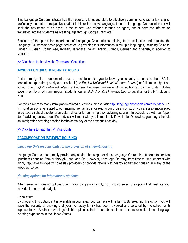If no Language On administrator has the necessary language skills to effectively communicate with a low English proficiency student or prospective student in his or her native language, then the Language On administrator will seek the assistance of an agent, if the student was referred through an agent, and/or have the information translated into the student's native language through Google Translate.

Because of the particular importance of Language On's policies relating to cancellations and refunds, the Language On website has a page dedicated to providing this information in multiple languages, including Chinese, Turkish, Russian, Portuguese, Korean, Japanese, Italian, Arabic, French, German and Spanish, in addition to English.

[>> Click here to the view the Terms and Conditions](https://languageonschools.com/enroll-now/enroll-now-terms-conditions/)

#### <span id="page-5-0"></span>**IMMIGRATION QUESTIONS AND ADVISING**

Certain immigration requirements must be met to enable you to leave your country to come to the USA for recreational (part-time) study at our school (the *English Unlimited Semi-Intensive Course*) or full-time study at our school (the *English Unlimited Intensive Course*). Because Language On is authorized by the United States government to enroll nonimmigrant students, our *English Unlimited Intensive Course* qualifies for the F-1 (student) visa.

For the answers to many immigration-related questions, please visit [http://languageonschools.com/about/faq/.](http://languageonschools.com/about/faq/) For immigration advising related to our entering, remaining in or exiting our program or study, you are also encouraged to contact a school director or assistant director for an immigration advising session. In accordance with our "open door" advising policy, a qualified advisor will meet with you immediately if available. Otherwise, you may schedule an immigration advising session for the same day or the next business day.

[>> Click here to read the F-1 Visa Guide](https://languageonschools.com/f1-visa-guide/)

## <span id="page-5-1"></span>**ACCOMMODATION (STUDENT HOUSING)**

#### <span id="page-5-2"></span>*Language On's responsibility for the provision of student housing*

Language On does not directly provide any student housing, nor does Language On require students to contract (purchase) housing from or through Language On. However, Language On may, from time to time, contract with highly reputable third-party homestay providers or provide referrals to nearby apartment housing in many of the areas we serve.

#### <span id="page-5-3"></span>*Housing options for international students*

When selecting housing options during your program of study, you should select the option that best fits your individual needs and budget:

#### **Homestay:**

By choosing this option, if it is available in your area, you can live with a family. By selecting this option, you will have the security of knowing that your homestay family has been reviewed and selected by the school or its representative. Another advantage of this option is that it contributes to an immersive cultural and language learning experience in the United States.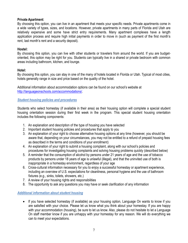## **Private Apartment**:

By choosing this option, you can live in an apartment that meets your specific needs. Private apartments come in a wide variety of types, sizes, and locations. However, private apartments in many parts of Florida and Utah are relatively expensive and some have strict entry requirements. Many apartment complexes have a length application process and require high initial payments in order to move in (such as payment of the first month's rent, last month's rent and a security deposit).

## **Hostel:**

By choosing this option, you can live with other students or travelers from around the world. If you are budgetoriented, this option may be right for you. Students can typically live in a shared or private bedroom with common areas including bathroom, kitchen, and lounge.

## **Hotel:**

By choosing this option, you can stay in one of the many of hotels located in Florida or Utah. Typical of most cities, hotels generally range in size and price based on the quality of the hotel.

Additional information about accommodation options can be found on our school's website at [http://languageonschools.com/accommodations/.](http://languageonschools.com/accommodations/)

## <span id="page-6-0"></span>*Student housing policies and procedures*

Students who select homestay (if available in their area) as their housing option will complete a special student housing orientation session during their first week in the program. This special student housing orientation includes the following components:

- 1. An explanation and description of the type of housing you have selected
- 2. Important student housing policies and procedures that apply to you
- 3. An explanation of your right to choose alternative housing options at any time (however, you should be aware that, depending on your circumstances, you may not be entitled to a refund of prepaid housing fees as described in the terms and conditions of your enrollment)
- 4. An explanation of your right to submit a housing complaint, along with our school's policies and procedures for investigating housing complaints and solving housing problems quickly (described below)
- 5. A reminder that the consumption of alcohol by persons under 21 years of age and the use of tobacco products by persons under 18 years of age is unlawful (illegal), and that the uninvited use of both is inappropriate in a homestay environment, regardless of your age
- 6. Cross-cultural information necessary for you to enjoy a successful homestay or apartment experience, including an overview of U.S. expectations for cleanliness, personal hygiene and the use of bathroom fixtures (e.g., sinks, toilets, showers, etc.)
- 7. A review of your housing rights and responsibilities
- 8. The opportunity to ask any questions you may have or seek clarification of any information

## <span id="page-6-1"></span>*Additional information about student housing*

• If you have selected homestay (if available) as your housing option, Language On wants to know if you are satisfied with your choice. Please let us know what you think about your homestay. If you are happy with your accommodation (housing), be sure to let us know. Also, please do not hesitate to let a Language On staff member know if you are unhappy with your homestay for any reason. We will do everything we can to meet your expectations.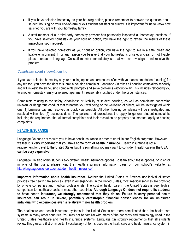- If you have selected homestay as your housing option, please remember to answer the question about student housing on your end-of-term or exit student satisfaction survey. It is important for us to know how satisfied you are with your homestay family.
- A staff member of our third-party homestay provider has personally inspected all homestay locations. If you have selected homestay as your housing option, you have the right to review the results of these inspections upon request.
- If you have selected homestay as your housing option, you have the right to live in a safe, clean and livable environment. If for any reason you believe that your homestay is unsafe, unclean or not livable, please contact a Language On staff member immediately so that we can investigate and resolve the problem.

## <span id="page-7-0"></span>*Complaints about student housing*

If you have selected homestay as your housing option and are not satisfied with your accommodation (housing) for any reason, you have the right to submit a housing complaint. Language On takes all housing complaints seriously and will investigate all housing complaints promptly and solve problems without delay. This includes relocating you to another homestay family or referred apartment if reasonably justified under the circumstances.

Complaints relating to the safety, cleanliness or livability of student housing, as well as complaints concerning unlawful or dangerous conduct that threatens your wellbeing or the wellbeing of others, will be investigated within one (1) business day and resolved as quickly as possible. All other housing complaints will be investigated and resolved within five (5) business days. The policies and procedures the apply to general student complaints, including the requirement that all formal complaints and their resolution be properly documented, apply to housing complaints.

## <span id="page-7-1"></span>**HEALTH INSURANCE**

Language On does not require you to have health insurance in order to enroll in our English programs. However, we feel **it is very important that you have some form of health insurance.** Health insurance is not a requirement for travel to the United States but it is something you may want to consider. **Health care in the USA can be very expensive.**

Language On also offers students two different health insurance options. To learn about these options, or to enroll in one of the plans, please visit the health insurance information page on our school's website, at [http://languageonschools.com/student-health-insurance/.](http://languageonschools.com/student-health-insurance/)

**Important information about health insurance**: Neither the United States of America nor individual states provides free health care services, even in emergencies. In the United States, most medical services are provided by private companies and medical professionals. The cost of health care in the United States is very high in comparison to healthcare costs in most other countries. **Although Language On does not require its students to have health insurance, we strongly recommend that they do so. Failure to carry personal health insurance can result in severe, potentially catastrophic financial consequences for an uninsured individual who experiences even a relatively minor health problem.** 

The healthcare and health insurance systems in the United States are more complicated than the health care systems in many other countries. You may not be familiar with many of the concepts and terminology used in the United States healthcare and health insurance systems. Language On strongly recommends that all students review this glossary (list of important vocabulary) of terms used in the healthcare and health insurance system in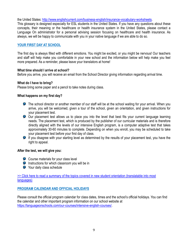the United States: [http://www.englishcurrent.com/business-english/insurance-vocabulary-worksheets.](http://www.englishcurrent.com/business-english/insurance-vocabulary-worksheets)

This glossary is designed especially for ESL students in the United States. If you have any questions about these concepts, their meaning or the healthcare or health insurance system in the United States, please contact a Language On administrator for a personal advising session focusing on healthcare and health insurance. As always, we will be happy to communicate with you in your native language if we are able to do so.

## <span id="page-8-0"></span>**YOUR FIRST DAY AT SCHOOL**

The first day is always filled with different emotions. You might be excited, or you might be nervous! Our teachers and staff will help make you comfortable in your new school and the information below will help make you feel more prepared. As a reminder, please leave your translators at home!

### **What time should I arrive at school?**

Before you arrive, you will receive an email from the School Director giving information regarding arrival time.

### **What do I have to bring?**

Please bring some paper and a pencil to take notes during class.

### **What happens on my first day?**

- The school director or another member of our staff will be at the school waiting for your arrival. When you arrive, you will be welcomed, given a tour of the school, given an orientation, and given instructions for your placement test.
- Our placement test allows us to place you into the level that best fits your current language learning needs. The placement test, which is produced by the publisher of our curricular materials and is therefore directly aligned with the levels of our intensive English program, is a computer adaptive test that takes approximately 30-60 minutes to complete. Depending on when you enroll, you may be scheduled to take your placement test before your first day of class.
- If you disagree with your starting level as determined by the results of your placement test, you have the right to appeal.

#### **After the test, we will give you:**

- **Course materials for your class level**
- $\bullet$  Instructions for which classroom you will be in
- **P** Your daily class schedule

[>> Click here to read a summary of the topics covered in new student orientation \(translatable into most](https://languageonschools.com/student-orientation/)  [languages\)](https://languageonschools.com/student-orientation/)

## <span id="page-8-1"></span>**PROGRAM CALENDAR AND OFFICIAL HOLIDAYS**

Please consult the official program calendar for class dates, times and the school's official holidays. You can find the calendar and other important program information on our school website at [https://languageonschools.com/our-courses/intensive-english-courses/.](https://languageonschools.com/our-courses/intensive-english-courses/)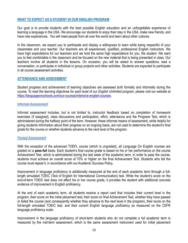### <span id="page-9-0"></span>**WHAT TO EXPECT AS A STUDENT IN OUR ENGLISH PROGRAM**

Our goal is to provide students with the best possible English education and an unforgettable experience of learning a language in the USA. We encourage our students to enjoy their stay in the USA, make new friends, and have new experiences. You will meet people from all over the world and learn about other cultures.

In the classroom, we expect you to participate and display a willingness to learn while being respectful of your classmates and your teacher. Our teachers are all experienced, qualified, professional English instructors. We have high expectations for our teachers and we hold the same high expectations for you, the student. We want you to feel comfortable in the classroom and be focused on the new material that is being presented in class. Our teachers involve all students in the lessons. On occasion, you will be asked to answer questions, lead a conversation, or participate in individual or group projects and other activities. Students are expected to participate in all course assessment activities.

#### <span id="page-9-1"></span>**ATTENDANCE AND ASSESSMENT**

Student progress and achievement of learning objectives are assessed both formally and informally during the course. To read the learning objectives for each level of our *English Unlimited* program, please visit our website at [https://languageonschools.com/our-courses/intensive-english-courses.](https://languageonschools.com/our-courses/intensive-english-courses)

#### <span id="page-9-2"></span>*Informal Assessment*

Informal assessment includes, but is not limited to, instructor feedback based on completion of homework exercises (if assigned), class discussions and participation, effort, attendance and the Progress Test, which is administered during the halfway point of the term. However, these informal means of assessment, while helpful for giving students information about their progress on an ongoing basis, are not used to determine the student's final grade for the course or whether students advance to the next level of the program.

#### <span id="page-9-3"></span>*Formal Assessment*

With the exception of the advanced TOEFL course (which is ungraded), all Language On English courses are graded on a **pass-fail** basis. Each student's final course grade is based on his or her performance on the course Achievement Test, which is administered during the last week of the academic term. In order to pass the course, students must achieve an overall score of 70% or higher on the final Achievement Test. Students who fail the course must repeat it, in accordance with our Academic Success Policy.

Improvement in language proficiency is additionally measured at the end of each academic term through a fulllength simulated TOEIC (Test of English for International Communication) test. While the student's score on the end-of-term TOEIC test does not affect his or her course grade, it provides the student with additional concrete evidence of improvement in English proficiency.

At the end of each academic term, all students receive a report card that includes their current level in the program, their score on the initial placement test, their score on final Achievement Test, whether they have passed or failed the course (and consequently whether they advance to the next level in the program), their score on the full-length simulated TOEIC test, and their current English language proficiency as measured on the CEFR language proficiency scale.

Improvement in the language proficiency of short-term students who do not complete a full academic term is measured by the mid-term assessment, which is the same assessment instrument used for initial placement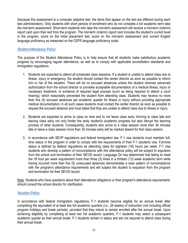(because this assessment is a computer adaptive test, the items that appear on the test are different during each test administration). Only students with short periods of enrollment who do not complete a full academic term take the mid-term assessment. Short-term students who take the mid-term assessment will receive a mid-term (interim) report card upon their exit from the program. The mid-term (interim) report card includes the student's current level in the program, score on the initial placement test, score on the mid-term assessment and current English language proficiency as measured on the CEFR language proficiency scale.

## <span id="page-10-0"></span>*Student Attendance Policy*

The purpose of the Student Attendance Policy is to help ensure that all students make satisfactory academic progress by encouraging regular attendance, as well as to comply with applicable accreditation standards and immigration regulations.

- 1. Students are expected to attend all scheduled class sessions. If a student is unable to attend class due to illness, injury or emergency, the student should contact the center director as soon as possible to inform him or her of the situation. There will be no excused absences unless the student receives advanced authorization from the school director or provides acceptable documentation of a medical illness, injury or necessary treatment, or evidence of required legal process (such as being required to attend a court hearing), which reasonably prevented the student from attending class. Students may receive no more than five (5) excused absences per academic quarter for illness or injury without providing appropriate medical documentation; in all such cases students must contact the center director as soon as possible to request the excused absence and must attest that they are unable to attend class due to illness or injury.
- 2. Students are expected to arrive to class on time and to not leave class early. Arriving to class late and leaving class early not only hinder the tardy student's academic progress but also disrupt the learning process of other students. Consequently, students who arrive to a class session more than 30 minutes late or leave a class session more than 30 minutes early will be marked absent for that class session.
- 3. In accordance with SEVP regulations and federal immigration law, F-1 visa students must maintain fulltime status in the program in order to comply with the requirements of their F-1 (student) visa. Full-time status is defined by federal regulations as attending class for eighteen (18) hours per week. F-1 visa students who develop a pattern of noncompliance with this attendance policy will be subject to expulsion from the school and termination of their SEVIS record. Language On has determined that failing to meet the 18 hour per week requirement more than three (3) times in a thirteen (13) week academic term while having incurred more than five (5) unexcused absences demonstrates a clear pattern of noncompliance with the program's attendance requirements and will subject the student to expulsion from the program and termination for their SEVIS record.

Note: Students who have questions about their attendance obligations or their program's attendance requirements should consult the school director for clarification.

## <span id="page-10-1"></span>*Vacation Policy*

In accordance with federal immigration regulations, F-1 students become eligible for an annual break after completing the equivalent of at least two full academic quarters (i.e., 26 weeks) of instruction (not including official program holidays and break periods), provided that they intend to remain enrolled after the annual break. Upon achieving eligibility by completing at least two full academic quarters, F-1 students may select a subsequent academic quarter as their annual break. F-1 students remain in status and are not required to attend class during their annual break.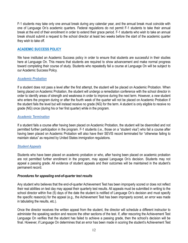F-1 students may take only one annual break during any calendar year, and the annual break must coincide with one of Language On's academic quarters. Federal regulations do not permit F-1 students to take their annual break at the end of their enrollment in order to extend their grace period. F-1 students who wish to take an annual break should submit a request to the school director at least two weeks before the start of the academic quarter they wish to take off.

## <span id="page-11-0"></span>**ACADEMIC SUCCESS POLICY**

We have instituted an Academic Success policy in order to ensure that students are successful in their studies here at Language On. This means that students are required to show advancement and make normal progress toward completing their course of study. Students who repeatedly fail a course at Language On will be subject to our Academic Success Policy.

## <span id="page-11-1"></span>*Academic Probation*

If a student does not pass a level after the first attempt, the student will be placed on Academic Probation. When being placed on Academic Probation, the student will undergo a remediation conference with the school director in order to identify areas of strength and weakness in order to improve during the next term. However, a *new* student who enters the program during or after the fourth week of the quarter will not be placed on Academic Probation if the student fails the level but will instead receive no grade (NG) for the term. A student is only eligible to receive no grade (NG) once (during his or her first quarter) while in the program.

### <span id="page-11-2"></span>*Academic Termination*

If a student fails a course after having been placed on Academic Probation, the student will be disenrolled and not permitted further participation in the program. F-1 students (i.e., those on a "student visa") who fail a course after having been placed on Academic Probation will also have their SEVIS record terminated for "otherwise failing to maintain status" as required by United States immigration regulations.

#### <span id="page-11-3"></span>*Student Appeals*

Students who have been placed on academic probation or who, after having been placed on academic probation are not permitted further enrollment in the program, may appeal Language On's decision. Students may not appeal a passing grade. All evidence of student appeals and their outcomes will be maintained in the student's permanent record.

#### *Procedures for appealing end-of-quarter test results*

Any student who believes that the end-of-quarter Achievement Test has been improperly scored or does not reflect their real abilities on test day may appeal their quarterly test results. All appeals must be submitted in writing to the school director within five (5) days of the date the student is notified of Language On's decision and must specify the specific reason(s) for the appeal (e.g., the Achievement Test has been improperly scored, an error was made in tabulating the results, etc.).

Once the director receives the written appeal from the student, the director will schedule a different instructor to administer the speaking section and rescore the other sections of the test. If, after rescoring the Achievement Test Language On verifies that the student has failed to achieve a passing grade, then the school's decision will be final. However, if Language On determines that an error has been made in scoring the student's Achievement Test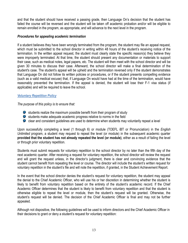and that the student should have received a passing grade, then Language On's decision that the student has failed the course will be reversed and the student will be taken off academic probation and/or will be eligible to remain enrolled in the program, as appropriate, and will advance to the next level in the program.

### *Procedures for appealing academic termination*

If a student believes they have been wrongly terminated from the program, the student may file an appeal request, which must be submitted to the school director in writing within 48 hours of the student's receiving notice of the termination. In the written appeal request, the student must clearly state the specific reason(s) they believe they were improperly terminated. At that time, the student should present any documentation or materials to support their case, such as medical notes, legal papers, etc. The student will then meet with the school director and will be given 30 minutes to discuss their case. Afterward, the school director will make a final determination of the student's case. The student's appeal will be upheld and the termination reversed only if the student demonstrates that Language On did not follow its written policies or procedures, or if the student presents compelling evidence (such as a valid medical excuse) that, if Language On would have had at the time of the termination, would have reasonably prevented the termination. If the appeal is denied, the student will lose their F-1 visa status (if applicable) and will be required to leave the school.

## <span id="page-12-0"></span>*Voluntary Repetition Policy*

*The purpose of this policy is to ensure that:*

- **S** students realize the maximum possible benefit from their program of study
- $\bullet$  students make adequate academic progress relative to norms in the field
- $\bullet$  clear and consistent guidelines are used to determine when students may voluntarily repeat a level

Upon successfully completing a level (1 through 6) or module (TOEFL iBT or Pronunciation) in the *English Unlimited* program, a student may request to repeat the level (or module) in the subsequent academic quarter **provided that the student has not already repeated the level (or module)**, either as a result of failing the level or through prior voluntary repetition.

Students must submit requests for voluntary repetition to the school director by no later than the fifth day of the next academic quarter. After receiving a request for voluntary repetition, the school director will review the request and will grant the request unless, in the director's judgment, there is clear and convincing evidence that the student cannot benefit from repeating the level or course. The director will include the student's written request for voluntary repetition in the student's file and will note the repetition, if granted, in the Student Achievement Report.

In the event that the school director denies the student's request for voluntary repetition, the student may appeal the denial to the Chief Academic Officer, who will use his or her discretion in determining whether the student is likely to benefit from voluntary repetition based on the entirety of the student's academic record. If the Chief Academic Officer determines that the student is likely to benefit from voluntary repetition and that the student is otherwise eligible to repeat the level or module, then the student's request will be granted. Otherwise, the student's request will be denied. The decision of the Chief Academic Officer is final and may not be further appealed.

Although not dispositive, the following guidelines will be used to inform directors and the Chief Academic Officer in their decisions to grant or deny a student's request for voluntary repetition: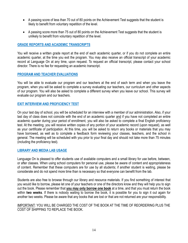- A passing score of less than 70 out of 80 points on the Achievement Test suggests that the student is likely to benefit from voluntary repetition of the level.
- A passing score more than 75 out of 80 points on the Achievement Test suggests that the student is unlikely to benefit from voluntary repetition of the level.

### <span id="page-13-0"></span>**GRADE REPORTS AND ACADEMIC TRANSCRIPTS**

You will receive a written grade report at the end of each academic quarter, or if you do not complete an entire academic quarter, at the time you exit the program. You may also receive an official transcript of your academic record at Language On at any time, upon request. To request an official transcript, please contact your school director. There is no fee for requesting an academic transcript.

### <span id="page-13-1"></span>**PROGRAM AND TEACHER EVALUATIONS**

You will be able to evaluate our program and our teachers at the end of each term and when you leave the program, when you will be asked to complete a survey evaluating our teachers, our curriculum and other aspects of our program. You will also be asked to complete a different survey when you leave our school. This survey will evaluate our program and our teachers.

### <span id="page-13-2"></span>**EXIT INTERVIEW AND PROFICIENCY TEST**

On your last day of school, you will be scheduled for an interview with a member of our administration. Also, if your last day of class does not coincide with the end of an academic quarter and if you have not completed an entire academic quarter during your period of enrollment, you will also be asked to complete a final English proficiency test. At the meeting, you will receive written copies of any portion of your academic record (upon request), as well as your certificate of participation. At this time, you will be asked to return any books or materials that you may have borrowed, as well as to complete a feedback form reviewing your classes, teachers, and the school in general. The meeting will be scheduled with you prior to your final day and should not take more than 75 minutes (including the proficiency test).

#### <span id="page-13-3"></span>**LIBRARY AND MEDIA LAB USAGE**

Language On is pleased to offer students use of available computers and a small library for use before, between, or after classes. When using school computers for personal use, please be aware of content and appropriateness of content. Remember that these computers are for use by all students; if another student is waiting, please be considerate and do not spend more time than is necessary so that everyone can benefit from the lab.

Students are also free to browse through our library and resource materials. If you find something of interest that you would like to borrow, please let one of your teachers or one of the directors know and they will help you to sign out the book. Please remember that **you may only borrow one book** at a time, and that you must return the book within **two weeks**. If there is nobody waiting to borrow the book, it is possible for you to sign it out again for another two weeks. Please be aware that any books that are lost or that are not returned are your responsibility.

### IMPORTANT: YOU WILL BE CHARGED THE COST OF THE BOOK AT THE TIME OF REORDERING PLUS THE COST OF SHIPPING TO REPLACE THE BOOK.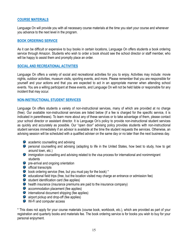### <span id="page-14-0"></span>**COURSE MATERIALS**

Language On will provide you with all necessary course materials at the time you start your course and whenever you advance to the next level in the program.

### <span id="page-14-1"></span>**BOOK ORDERING SERVICE**

As it can be difficult or expensive to buy books in certain locations, Language On offers students a book ordering service through Amazon. Students who wish to order a book should see the school director or staff member, who will be happy to assist them and promptly place an order.

### <span id="page-14-2"></span>**SOCIAL AND RECREATIONAL ACTIVITIES**

Language On offers a variety of social and recreational activities for you to enjoy. Activities may include: movie nights, outdoor activities, museum visits, sporting events, and more. Please remember that you are responsible for yourself and your actions and that you are expected to act in an appropriate manner when attending school events. You are a willing participant at these events, and Language On will not be held liable or responsible for any incident that may occur.

## <span id="page-14-3"></span>**NON-INSTRUCTIONAL STUDENT SERVICES**

Language On offers students a variety of non-instructional services, many of which are provided at no charge (free). Our available non-instructional services are listed below (if a fee is charged for the specific service, it is indicated in parentheses). To learn more about any of these services or to take advantage of them, please contact your school director or assistant director. It is Language On's policy to provide non-instructional student services as quickly and accurately as possible. Our "open door" advising policy provides students with non-instructional student services immediately if an advisor is available at the time the student requests the services. Otherwise, an advising session will be scheduled with a qualified adviser on the same day or no later than the next business day.

- **P** academic counselling and advising
- **P** personal counselling and advising (adapting to life in the United States, how best to study, how to get around town, etc.)
- **D** immigration counselling and advising related to the visa process for international and nonimmigrant students
- **P** pre-arrival and ongoing orientation
- $\bullet$  official transcripts
- book ordering service (free, but you must pay for the book) \*
- $\bullet$  educational field trips (free, but the location visited may charge an entrance or admission fee)
- $\bullet$  student identification card (fee applies)
- **O** health insurance (insurance premiums are paid to the insurance company)
- **a** accommodation placement (fee applies)
- $\bullet$  international document shipping (fee applies)
- **P** airport pickup and drop-off (fee applies)
- Wi-Fi and computer access

\* This does not apply for your course materials (course book, workbook, etc.), which are provided as part of your registration and quarterly books and materials fee. The book ordering service is for books you wish to buy for your personal enjoyment.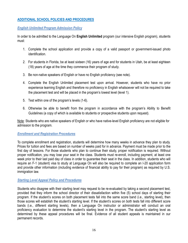## <span id="page-15-0"></span>**ADDITIONAL SCHOOL POLICIES AND PROCEDURES**

### <span id="page-15-1"></span>*English Unlimited Program Admission Policy*

In order to be admitted to the Language On **English Unlimited** program (our intensive English program), students must:

- 1. Complete the school application and provide a copy of a valid passport or government-issued photo identification.
- 2. For students in Florida, be at least sixteen (16) years of age and for students in Utah, be at least eighteen (18) years of age at the time they commence their program of study.
- 3. Be non-native speakers of English or have no English proficiency (see note).
- 4. Complete the English Unlimited placement test upon arrival. However, students who have no prior experience learning English and therefore no proficiency in English whatsoever will not be required to take the placement test and will be placed in the program's lowest level (level 1).
- 5. Test within one of the program's levels (1-6).
- 6. Otherwise be able to benefit from the program in accordance with the program's Ability to Benefit Guidelines (a copy of which is available to students or prospective students upon request).

Note: Students who are native speakers of English or who have native-level English proficiency are not eligible for admission to the program.

## <span id="page-15-2"></span>*Enrollment and Registration Procedures*

To complete enrollment and registration, students will determine how many weeks in advance they plan to study. Prices for tuition and fees are based on number of weeks paid for in advance. Payment must be made prior to the first day of lessons. For those students who plan to continue their study, proper notification is required. Without proper notification, you may lose your seat in the class. Students must re-enroll, including payment, at least one week prior to their last paid day of class in order to guarantee their seat in the class. In addition, students who will require an F-1 (student) visa to study at Language On will also be required to complete an I-20 application form and provide other information (including evidence of financial ability to pay for their program) as required by U.S. immigration law.

## <span id="page-15-3"></span>*Starting Level Appeal Policy and Procedures*

Students who disagree with their starting level may request to be re-evaluated by taking a second placement test, provided that they inform the school director of their dissatisfaction within five (5) school days of starting their program. If the student's scores on both placement tests fall into the same score band (i.e., starting level), then those scores will establish the student's starting level. If the student's scores on both tests fall into different score bands (i.e., different starting levels), then a Language On instructor or administrator will conduct an oral proficiency evaluation to determine the student's starting level in the program. The student's starting level as determined by these appeal procedures will be final. Evidence of all student appeals is maintained in our permanent records.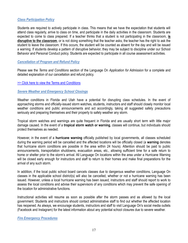#### <span id="page-16-0"></span>*Class Participation Policy*

Students are required to actively participate in class. This means that we have the expectation that students will attend class regularly, arrive to class on time, and participate in the daily activities in the classroom. Students are expected to come to class prepared. If a teacher thinks that a student is not participating in the classroom, **is disruptive to the classroom**, or is not doing something that the teacher asks, the teacher has the right to ask the student to leave the classroom. If this occurs, the student will be counted as absent for the day and will be issued a warning. If students develop a pattern of disruptive behavior, they may be subject to discipline under our School Behavior and Personal Conduct policy. Students are expected to participate in all course assessment activities.

### <span id="page-16-1"></span>*Cancellation of Program and Refund Policy*

Please see the *Terms and Conditions* section of the Language On *Application for Admission* for a complete and detailed explanation of our cancellation and refund policy.

#### [>> Click here to view the Terms and Conditions](https://languageonschools.com/enroll-now/enroll-now-terms-conditions/)

#### <span id="page-16-2"></span>*Severe Weather and Emergency School Closings*

Weather conditions in Florida and Utah have a potential for disrupting class schedules. In the event of approaching storms and officially-issued storm watches, students, instructors and staff should closely monitor local weather conditions and public announcements and act accordingly, taking all suggested safety precautions seriously and preparing themselves and their property to safely weather any storm.

Tropical storm watches and warnings are quite frequent in Florida and are usually short term with little major damage caused. In the event of a **tropical storm watch or warning**, classes will continue, but individuals should protect themselves as needed.

However, in the event of a **hurricane warning** officially published by local governments, all classes scheduled during the warning period will be cancelled and the affected locations will be officially closed (a **warning** denotes that hurricane storm conditions are possible in the area within 24 hours). Attention should be paid to public announcements, transportation shutdowns, evacuation areas, etc., allowing sufficient time for a safe return to home or shelter prior to the storm's arrival. All Language On locations within the area under a Hurricane Warning will be closed early enough for instructors and staff to return to their homes and make final preparations for the arrival of any such storm.

In addition, if the local public school board cancels classes due to dangerous weather conditions, Language On classes in the applicable school district(s) will also be cancelled, whether or not a hurricane warning has been issued. However, unless a local hurricane warning has been issued, instructors and staff should report to work to assess the local conditions and advise their supervisors of any conditions which may prevent the safe opening of the location for administrative functions.

Instructional activities will resume as soon as possible after the storm passes and as allowed by the local government. Students and instructors should contact administrative staff to find out whether the affected location has reopened. As always, we encourage students, instructors and staff to visit Language On's social media outlets (Facebook and Instagram) for the latest information about any potential school closures due to severe weather.

#### <span id="page-16-3"></span>*Fire Emergency Procedures*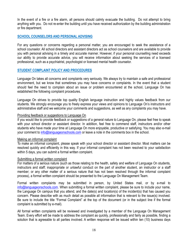In the event of a fire or a fire alarm, all persons should calmly evacuate the building. Do not attempt to bring anything with you. Do not re-enter the building until you have received authorization by the building administration or fire department.

## <span id="page-17-0"></span>**SCHOOL COUNSELORS AND PERSONAL ADVISING**

For any questions or concerns regarding a personal matter, you are encouraged to seek the assistance of a school counselor. All school directors and assistant directors act as school counselors and are available to provide you with personal advising in a timely and accurate manner. However, if your personal counselling need exceeds our ability to provide accurate advice, you will receive information about seeking the services of a licensed professional, such as a psychiatrist, psychologist or licensed mental health counselor.

## <span id="page-17-1"></span>**STUDENT COMPLAINT POLICY AND PROCEDURES**

Language On takes all concerns and complaints very seriously. We always try to maintain a safe and professional environment, but we know that sometimes you may have concerns or complaints. In the event that a student should feel the need to complain about an issue or problem encountered at the school, Language On has established the following complaint procedures.

Language On strives to provide top quality English language instruction and highly values feedback from our students. We strongly encourage you to freely express your views and opinions to Language On's instructors and administrative staff and we welcome your comments and suggestions, as well as any complaints you may have.

### Providing feedback or suggestions to Language On

If you would like to provide feedback or suggestions of a general nature to Language On, please feel free to speak with your school director or assistant director. In addition, feel free to commend staff, instructors and/or other students who have made your time at Language On more enjoyable, productive or satisfying. You may also e-mail your comment to [info@languageonschools.com](mailto:info@languageonschools.com) or leave a note in the comments box in the school.

#### Making an informal complaint

To make an informal complaint, please speak with your school director or assistant director. Most matters can be resolved quickly and efficiently in this way. If your informal complaint has not been resolved to your satisfaction within 5 days, you can submit a formal written complaint.

#### Submitting a formal written complaint

For matters of a serious nature (such as those relating to the health, safety and welfare of Language On students, instructors and staff; inappropriate or unlawful conduct on the part of another student, an instructor or a staff member; or any other matter of a serious nature that has not been resolved through the informal complaint process), a formal written complaint should be presented to the Language On Management Team.

Formal written complaints may be submitted in person, by United States mail, or by e-mail to [info@languageonschools.com.](mailto:info@languageonschools.com) When submitting a formal written complaint, please be sure to include your name, the Language On campus that you attend, and the date(s) and location(s) of the incident(s) that has caused you concern. Please describe with as much detail as possible all information that is relevant to the issue(s) involved. Be sure to include the title "Formal Complaint" at the top of the document (or in the subject line if the formal complaint is submitted by e-mail).

All formal written complaints will be reviewed and investigated by a member of the Language On Management Team. Every effort will be made to address the complaint as quickly, professionally and fairly as possible, finding a solution that is agreeable to all parties involved. A written response will be issued within ten (10) business days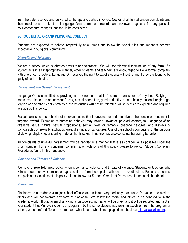from the date received and delivered to the specific parties involved. Copies of all formal written complaints and their resolutions are kept in Language On's permanent records and reviewed regularly for any possible policy/procedure changes that should be considered.

## <span id="page-18-0"></span>**SCHOOL BEHAVIOR AND PERSONAL CONDUCT**

Students are expected to behave respectfully at all times and follow the social rules and manners deemed acceptable in our global community.

### <span id="page-18-1"></span>*Diversity and Tolerance*

We are a school which celebrates diversity and tolerance. We will not tolerate discrimination of any form. If a student acts in an inappropriate manner, other students and teachers are encouraged to file a formal complaint with one of our directors. Language On reserves the right to expel students without refund if they are found to be guilty of such behavior.

#### <span id="page-18-2"></span>*Harassment and Sexual Harassment*

Language On is committed to providing an environment that is free from harassment of any kind. Bullying or harassment based on an individual's sex, sexual orientation, gender identity, race, ethnicity, national origin, age, religion or any other legally protected characteristics **will not** be tolerated. All students are expected and required to abide by this policy.

Sexual harassment is behavior of a sexual nature that is unwelcome and offensive to the person or persons it is targeted toward. Examples of harassing behavior may include unwanted physical contact, foul language of an offensive sexual nature, sexual propositions, sexual jokes or remarks, obscene gestures, and displays of pornographic or sexually explicit pictures, drawings, or caricatures. Use of the school's computers for the purpose of viewing, displaying, or sharing material that is sexual in nature may also constitute harassing behavior.

All complaints of unlawful harassment will be handled in a manner that is as confidential as possible under the circumstances. For any concerns, complaints, or violations of this policy, please follow our Student Complaint Procedures found in this handbook.

## <span id="page-18-3"></span>*Violence and Threats of Violence*

We have a **zero tolerance** policy when it comes to violence and threats of violence. Students or teachers who witness such behavior are encouraged to file a formal complaint with one of our directors. For any concerns, complaints, or violations of this policy, please follow our Student Complaint Procedures found in this handbook.

## <span id="page-18-4"></span>*Plagiarism*

Plagiarism is considered a major school offense and is taken very seriously. Language On values the work of others and will not tolerate any form of plagiarism. We follow the moral and ethical rules adhered to in the academic world. If plagiarism of any kind is discovered, no marks will be given and it will be reported and kept in your student file. Multiple incidents of plagiarism by the same student may result in expulsion from the program or school, without refund. To learn more about what is, and what is not, plagiarism, check out [http://plagiarism.org.](http://plagiarism.org/)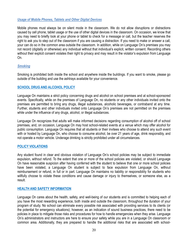#### <span id="page-19-0"></span>*Usage of Mobile Phones, Tablets and Other Digital Devices*

Mobile phones must always be on silent mode in the classroom. We do not allow disruptions or distractions caused by cell phone, tablet usage or the use of other digital devices in the classroom. On occasion, we know that you may need to briefly look at your phone or tablet to check for a message or call, but the teacher reserves the right to ask you to step out of the classroom if you are causing a distraction. If you need to make or answer a call, your can do so in the common area outside the classroom. In addition, while on Language On's premises you may not record (digitally or otherwise) any individual without that individual's explicit, written consent. Recording others without their explicit consent violates their right to privacy and may result in the violator's expulsion from Language On.

### <span id="page-19-1"></span>*Smoking*

Smoking is prohibited both inside the school and anywhere inside the buildings. If you want to smoke, please go outside of the building and use the ashtrays available for your convenience.

## <span id="page-19-2"></span>**SCHOOL DRUG AND ALCOHOL POLICY**

Language On maintains a strict policy concerning drugs and alcohol on school premises and at school-sponsored events. Specifically, while on the premises of Language On, no students or any other individuals invited onto the premises are permitted to bring any drugs, illegal substances, alcoholic beverages, or contraband at any time. Further, students and other individuals invited onto Language On's premises are not permitted on the premises while under the influence of any drugs, alcohol, or illegal substances.

Language On recognizes that adults will make informed decisions regarding consumption of alcohol off of school premises, and, on occasion, Language On may host school-related events at a venue which may offer alcohol for public consumption. Language On requires that all students or their invitees who choose to attend any such event with or hosted by Language On, who choose to consume alcohol, be over 21 years of age, drink responsibly, and not operate a motor vehicle. Underage drinking is strictly prohibited under all circumstances.

## <span id="page-19-3"></span>**POLICY VIOLATIONS**

Any student found in clear and obvious violation of Language On's school policies may be subject to immediate expulsion, without refund. To the extent that one or more of the school policies are violated, or should Language On have reasonable suspicion after having conferred with the student to believe that one or more school policies have been violated, a Language On student is subject to face expulsion from Language On, without reimbursement or refund, in full or in part. Language On maintains no liability or responsibility for students who willfully choose to violate these conditions and cause damage or injury to themselves, or someone else, as a result.

## <span id="page-19-4"></span>**HEALTH AND SAFETY INFORMATION**

Language On cares about the health, safety, and well-being of our students and is committed to helping each of you have the most rewarding experience, both inside and outside the classroom, throughout the duration of your program of study. No school can eliminate every possible risk associated with providing services to its clients (or the potential for emergency situations); however, as an indication of sound business practices, there need to be policies in place to mitigate those risks and procedures for how to handle emergencies when they arise. Language On's administrators and instructors are here to ensure your safety while you are in a Language On classroom or common area. Additionally, they are prepared to handle the additional risks that are associated with school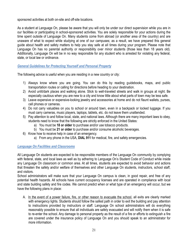sponsored activities at both on-site and off-site locations.

As a student at Language On, please be aware that you will only be under our direct supervision while you are in our facilities or participating in school-sponsored activities. You are solely responsible for your actions during the time spent outside of Language On. Many students come from abroad (or another area of the country) and are unaware of what to expect while studying at one of our campuses; as a result, we have prepared this general guide about health and safety matters to help you stay safe at all times during your program. Please note that Language On has no parental authority or responsibility over minor students (those less than 18 years old). Additionally, Language On will be in no way responsible for any student who is arrested for violating any federal, state, or local law or ordinance.

## <span id="page-20-0"></span>*General Guidelines for Protecting Yourself and Personal Property*

The following advice is useful when you are residing in a new country or city:

- 1) Always know where you are going. You can do this by reading guidebooks, maps, and public transportation routes or calling for directions before heading to your destination.
- 2) Avoid unlit/dark places and walking alone. Stick to well-traveled streets and walk in groups at night. Be especially cautious when you are new to a city and know little about what parts of town may be less safe.
- 3) Leave expensive or expensive-looking jewelry and accessories at home and do not flaunt wallets, purses, cell phones or cameras.
- 4) Do not carry valuables on you to school or around town, even in a backpack or locked luggage. If you must carry cameras, music players, laptops, tablets, etc. do not leave them unattended.
- 5) Pay attention to and follow local, state, and national laws. Although there are many important laws to obey, students need to know that the following are strictly enforced in the United States:
	- a) You must be **18 or older** to purchase and/or use tobacco products.
	- b) You must be **21 or older** to purchase and/or consume alcoholic beverages.
- 6) Know how to receive help in case of an emergency.
	- a) From any phone in the USA, **DIAL 911** for medical, fire, and safety emergencies.

## <span id="page-20-1"></span>*Language On Facilities and Classrooms*

All Language On students are expected to be responsible members of the Language On community by complying with federal, state, and local laws as well as by adhering to Language On's Student Code of Conduct while inside any Language On classroom or common area. At all times, students are expected to avoid behavior and actions that threaten the safety and/or welfare of themselves and other Language On students, instructors, school staff, and visitors.

School administrators will make sure that your Language On campus is clean, in good repair, and free of any potential health hazards. All schools have current occupancy licenses and are operated in compliance with local and state building safety and fire codes. We cannot predict when or what type of an emergency will occur, but we have the following plans in place:

A. In the event of a power failure, fire, or other reason to evacuate the school, all exits are clearly marked with emergency lights. Students should follow the safest path in order to exit the building and pay attention to instructions provided by instructors or staff. Language On school administrators will do everything reasonably possible to ensure that all individuals are safely evacuated and will notify them when it is safe to re-enter the school. Any damage to personal property as the result of a fire or efforts to extinguish a fire are covered under the insurance policy of Language On and you should speak to an administrator for more information.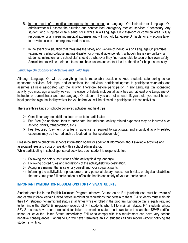- B. In the event of a medical emergency in the school, a Language On instructor or Language On administrator will assess the situation and contact local emergency medical services if necessary. Any student who is injured or falls seriously ill while in a Language On classroom or common area is fully responsible for any resulting medical expenses and will not hold Language On liable for any actions taken to provide access to emergency medical care.
- C. In the event of a situation that threatens the safety and welfare of individuals on Language On premises (examples: ceiling collapse, natural disaster, or physical violence, etc.), although this is very unlikely, all students, instructors, and school staff should do whatever they find reasonable to secure their own safety. Administrators will do their best to control the situation and contact local authorities for help if necessary.

## <span id="page-21-0"></span>*Language On Sponsored Activities and Field Trips*

Although Language On will do everything that is reasonably possible to keep students safe during school sponsored activities, field trips, and excursions, the individual participant agrees to participate voluntarily and assumes all risks associated with the activity. Therefore, before participation in any Language On sponsored activity, you must sign a liability waiver. The waiver of liability includes all activities with at least one Language On instructor or administrator and one Language On student. If you are not at least 18 years old, you must have a legal guardian sign the liability waiver for you before you will be allowed to participate in these activities.

There are three kinds of school-sponsored activities and field trips:

- $\triangleright$  Complimentary (no additional fees or costs to participate)
- ➢ Fee Free (no additional fees to participate, but individual activity related expenses may be incurred such as food, drinks, transportation, etc.)
- ➢ Fee Required (payment of a fee in advance is required to participate, and individual activity related expenses may be incurred such as food, drinks, transportation, etc.)

Please be sure to check the school's information board for additional information about available activities and associated fees and costs or speak with a school administrator.

While participating in school sponsored activities, each student is responsible for:

- 1) Following the safety instructions of the activity/field trip leader(s).
- 2) Following posted rules and regulations of the activity/field trip destination.
- 3) Acting in a manner that is safe for yourself and your co-participants.
- 4) Informing the activity/field trip leader(s) of any personal dietary needs, health risks, or physical disabilities that may limit your full participation or affect the health and safety of your co-participants.

## <span id="page-21-1"></span>**IMPORTANT IMMIGRATION REGULATIONS FOR F-1 VISA STUDENTS**

Students enrolled in the English Unlimited Program Intensive Course on an F-1 (student) visa must be aware of and carefully follow certain United States immigration regulations that pertain to them. F-1 students must maintain their F-1 (student) nonimmigrant status at all times while enrolled in the program. Language On is legally required to terminate the SEVIS (immigration) records of F-1 students who fail to maintain status. F-1 students whose SEVIS records have been terminated for failure to maintain status must transfer out to another SEVP-certified school or leave the United States immediately. Failure to comply with this requirement can have very serious negative consequences. Language On will never terminate an F-1 student's SEVIS record without notifying the student in writing.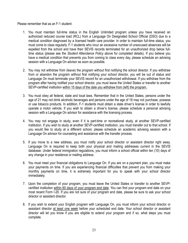Please remember that as an F-1 student:

- 1. You must maintain full-time status in the English Unlimited program unless you have received an authorized reduced course load (RCL) from a Language On Designated School Official (DSO) due to a medical condition diagnosed by a licensed health care provider. In order to maintain full-time status, you must come to class regularly. F-1 students who incur an excessive number of unexcused absences will be expelled from the school and have their SEVIS records terminated for an unauthorized drop below fulltime status (please see the *Student Attendance Policy* above for completed details). If you believe you have a medical condition that prevents you from coming to class every day, please schedule an advising session with a Language On advisor as soon as possible.
- 2. You may not withdraw from (leave) the program without first notifying the school director. If you withdraw from or abandon the program without first notifying your school director, you will be out of status and Language On must terminate your SEVIS record for an unauthorized withdrawal. If you withdraw from the program after having notified your school director, you must leave the United States or transfer to another SEVP-certified institution within 15 days of the date you withdrew from (left) the program.
- 3. You must obey all federal, state and local laws. Remember that in the United States, persons under the age of 21 may not drink alcoholic beverages and persons under the age of 18 may not purchase, possess or use tobacco products. In addition, F-1 students must obtain a state driver's license in order to lawfully operate a motor vehicle. If you wish to obtain a driver's license, please schedule a personal advising session with a Language On advisor for assistance with the licensing process.
- 4. You may not engage in study, even if it is part-time or recreational study, at another SEVP-certified institution. If you wish to study at another SEVP-certified institution, you must transfer out to that school. If you would like to study at a different school, please schedule an academic advising session with a Language On advisor for counseling and assistance with the transfer process.
- 5. If you move to a new address, you must notify your school director or assistant director right away. Language On is required to keep both your physical and mailing addresses current in the SEVIS database. Under federal immigration regulations, you must inform a school official within ten (10) days of any change in your residence or mailing address.
- 6. You must meet your financial obligations to Language On. If you are on a payment plan, you must make your payments on time. If you are experiencing financial difficulties that prevent you from making your monthly payments on time, it is extremely important for you to speak with your school director immediately.
- 7. Upon the completion of your program, you must leave the United States or transfer to another SEVPcertified institution within 60 days of your program end date. You can find your program end date on your most recent Form I-20. If you are not sure of your program end date, please be sure to ask your school director or assistant director.
- 8. If you wish to extend your English program with Language On, you must inform your school director or assistant director at least one week before your scheduled end date. Your school director or assistant director will let you know if you are eligible to extend your program and if so, what steps you must complete.